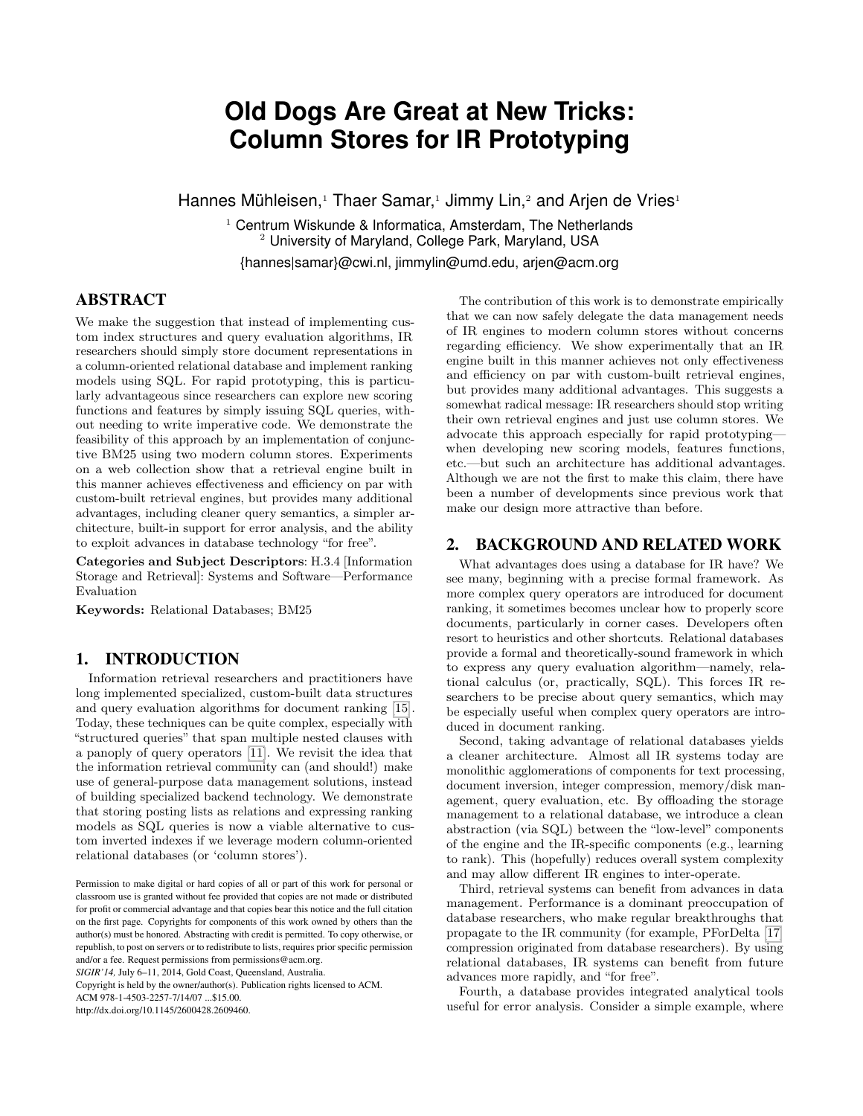# **Old Dogs Are Great at New Tricks: Column Stores for IR Prototyping**

Hannes Mühleisen, $1$  Thaer Samar, $1$  Jimmy Lin, $2$  and Arien de Vries<sup>1</sup>

 $1$  Centrum Wiskunde & Informatica, Amsterdam, The Netherlands <sup>2</sup> University of Maryland, College Park, Maryland, USA

{hannes|samar}@cwi.nl, jimmylin@umd.edu, arjen@acm.org

## ABSTRACT

We make the suggestion that instead of implementing custom index structures and query evaluation algorithms, IR researchers should simply store document representations in a column-oriented relational database and implement ranking models using SQL. For rapid prototyping, this is particularly advantageous since researchers can explore new scoring functions and features by simply issuing SQL queries, without needing to write imperative code. We demonstrate the feasibility of this approach by an implementation of conjunctive BM25 using two modern column stores. Experiments on a web collection show that a retrieval engine built in this manner achieves effectiveness and efficiency on par with custom-built retrieval engines, but provides many additional advantages, including cleaner query semantics, a simpler architecture, built-in support for error analysis, and the ability to exploit advances in database technology "for free".

Categories and Subject Descriptors: H.3.4 [Information Storage and Retrieval]: Systems and Software—Performance Evaluation

Keywords: Relational Databases; BM25

# 1. INTRODUCTION

Information retrieval researchers and practitioners have long implemented specialized, custom-built data structures and query evaluation algorithms for document ranking [\[15\]](#page-3-0). Today, these techniques can be quite complex, especially with "structured queries" that span multiple nested clauses with a panoply of query operators [\[11\]](#page-3-1). We revisit the idea that the information retrieval community can (and should!) make use of general-purpose data management solutions, instead of building specialized backend technology. We demonstrate that storing posting lists as relations and expressing ranking models as SQL queries is now a viable alternative to custom inverted indexes if we leverage modern column-oriented relational databases (or 'column stores').

*SIGIR'14,* July 6–11, 2014, Gold Coast, Queensland, Australia.

Copyright is held by the owner/author(s). Publication rights licensed to ACM.

ACM 978-1-4503-2257-7/14/07 ...\$15.00.

http://dx.doi.org/10.1145/2600428.2609460.

The contribution of this work is to demonstrate empirically that we can now safely delegate the data management needs of IR engines to modern column stores without concerns regarding efficiency. We show experimentally that an IR engine built in this manner achieves not only effectiveness and efficiency on par with custom-built retrieval engines, but provides many additional advantages. This suggests a somewhat radical message: IR researchers should stop writing their own retrieval engines and just use column stores. We advocate this approach especially for rapid prototyping when developing new scoring models, features functions, etc.—but such an architecture has additional advantages. Although we are not the first to make this claim, there have been a number of developments since previous work that make our design more attractive than before.

## 2. BACKGROUND AND RELATED WORK

What advantages does using a database for IR have? We see many, beginning with a precise formal framework. As more complex query operators are introduced for document ranking, it sometimes becomes unclear how to properly score documents, particularly in corner cases. Developers often resort to heuristics and other shortcuts. Relational databases provide a formal and theoretically-sound framework in which to express any query evaluation algorithm—namely, relational calculus (or, practically, SQL). This forces IR researchers to be precise about query semantics, which may be especially useful when complex query operators are introduced in document ranking.

Second, taking advantage of relational databases yields a cleaner architecture. Almost all IR systems today are monolithic agglomerations of components for text processing, document inversion, integer compression, memory/disk management, query evaluation, etc. By offloading the storage management to a relational database, we introduce a clean abstraction (via SQL) between the "low-level" components of the engine and the IR-specific components (e.g., learning to rank). This (hopefully) reduces overall system complexity and may allow different IR engines to inter-operate.

Third, retrieval systems can benefit from advances in data management. Performance is a dominant preoccupation of database researchers, who make regular breakthroughs that propagate to the IR community (for example, PForDelta [\[17\]](#page-3-2) compression originated from database researchers). By using relational databases, IR systems can benefit from future advances more rapidly, and "for free".

Fourth, a database provides integrated analytical tools useful for error analysis. Consider a simple example, where

Permission to make digital or hard copies of all or part of this work for personal or classroom use is granted without fee provided that copies are not made or distributed for profit or commercial advantage and that copies bear this notice and the full citation on the first page. Copyrights for components of this work owned by others than the author(s) must be honored. Abstracting with credit is permitted. To copy otherwise, or republish, to post on servers or to redistribute to lists, requires prior specific permission and/or a fee. Request permissions from permissions@acm.org.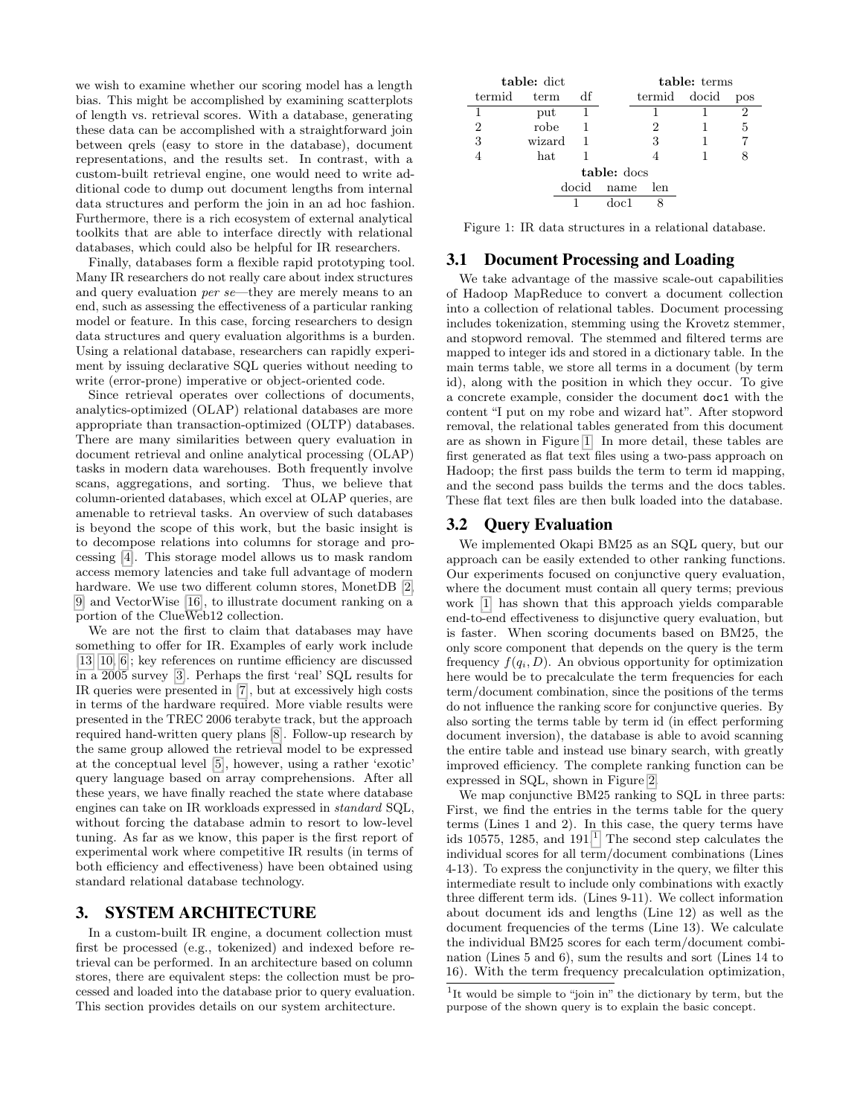we wish to examine whether our scoring model has a length bias. This might be accomplished by examining scatterplots of length vs. retrieval scores. With a database, generating these data can be accomplished with a straightforward join between qrels (easy to store in the database), document representations, and the results set. In contrast, with a custom-built retrieval engine, one would need to write additional code to dump out document lengths from internal data structures and perform the join in an ad hoc fashion. Furthermore, there is a rich ecosystem of external analytical toolkits that are able to interface directly with relational databases, which could also be helpful for IR researchers.

Finally, databases form a flexible rapid prototyping tool. Many IR researchers do not really care about index structures and query evaluation per se—they are merely means to an end, such as assessing the effectiveness of a particular ranking model or feature. In this case, forcing researchers to design data structures and query evaluation algorithms is a burden. Using a relational database, researchers can rapidly experiment by issuing declarative SQL queries without needing to write (error-prone) imperative or object-oriented code.

Since retrieval operates over collections of documents, analytics-optimized (OLAP) relational databases are more appropriate than transaction-optimized (OLTP) databases. There are many similarities between query evaluation in document retrieval and online analytical processing (OLAP) tasks in modern data warehouses. Both frequently involve scans, aggregations, and sorting. Thus, we believe that column-oriented databases, which excel at OLAP queries, are amenable to retrieval tasks. An overview of such databases is beyond the scope of this work, but the basic insight is to decompose relations into columns for storage and processing [\[4\]](#page-3-3). This storage model allows us to mask random access memory latencies and take full advantage of modern hardware. We use two different column stores, MonetDB [\[2,](#page-3-4) [9\]](#page-3-5) and VectorWise [\[16\]](#page-3-6), to illustrate document ranking on a portion of the ClueWeb12 collection.

We are not the first to claim that databases may have something to offer for IR. Examples of early work include [\[13,](#page-3-7) [10,](#page-3-8) [6\]](#page-3-9); key references on runtime efficiency are discussed in a 2005 survey [\[3\]](#page-3-10). Perhaps the first 'real' SQL results for IR queries were presented in [\[7\]](#page-3-11), but at excessively high costs in terms of the hardware required. More viable results were presented in the TREC 2006 terabyte track, but the approach required hand-written query plans [\[8\]](#page-3-12). Follow-up research by the same group allowed the retrieval model to be expressed at the conceptual level [\[5\]](#page-3-13), however, using a rather 'exotic' query language based on array comprehensions. After all these years, we have finally reached the state where database engines can take on IR workloads expressed in standard SQL, without forcing the database admin to resort to low-level tuning. As far as we know, this paper is the first report of experimental work where competitive IR results (in terms of both efficiency and effectiveness) have been obtained using standard relational database technology.

#### 3. SYSTEM ARCHITECTURE

In a custom-built IR engine, a document collection must first be processed (e.g., tokenized) and indexed before retrieval can be performed. In an architecture based on column stores, there are equivalent steps: the collection must be processed and loaded into the database prior to query evaluation. This section provides details on our system architecture.

<span id="page-1-0"></span>

| table: dict |        |                            | table: terms |       |              |     |  |  |
|-------------|--------|----------------------------|--------------|-------|--------------|-----|--|--|
| termid      | term   | df                         |              |       | termid docid | pos |  |  |
| 1           | put    | 1                          |              |       |              | 2   |  |  |
| 2           | robe   |                            |              | 2     |              | 5   |  |  |
| 3           | wizard | $\overline{\phantom{0}}$ 1 |              | 3     |              | 7   |  |  |
|             | hat    |                            |              |       |              |     |  |  |
| table: docs |        |                            |              |       |              |     |  |  |
|             |        |                            | docid name   | — len |              |     |  |  |
|             |        |                            | اعمه         |       |              |     |  |  |

Figure 1: IR data structures in a relational database.

#### 3.1 Document Processing and Loading

We take advantage of the massive scale-out capabilities of Hadoop MapReduce to convert a document collection into a collection of relational tables. Document processing includes tokenization, stemming using the Krovetz stemmer, and stopword removal. The stemmed and filtered terms are mapped to integer ids and stored in a dictionary table. In the main terms table, we store all terms in a document (by term id), along with the position in which they occur. To give a concrete example, consider the document doc1 with the content "I put on my robe and wizard hat". After stopword removal, the relational tables generated from this document are as shown in Figure [1.](#page-1-0) In more detail, these tables are first generated as flat text files using a two-pass approach on Hadoop; the first pass builds the term to term id mapping, and the second pass builds the terms and the docs tables. These flat text files are then bulk loaded into the database.

#### 3.2 Query Evaluation

We implemented Okapi BM25 as an SQL query, but our approach can be easily extended to other ranking functions. Our experiments focused on conjunctive query evaluation, where the document must contain all query terms; previous work [\[1\]](#page-3-14) has shown that this approach yields comparable end-to-end effectiveness to disjunctive query evaluation, but is faster. When scoring documents based on BM25, the only score component that depends on the query is the term frequency  $f(q_i, D)$ . An obvious opportunity for optimization here would be to precalculate the term frequencies for each term/document combination, since the positions of the terms do not influence the ranking score for conjunctive queries. By also sorting the terms table by term id (in effect performing document inversion), the database is able to avoid scanning the entire table and instead use binary search, with greatly improved efficiency. The complete ranking function can be expressed in SQL, shown in Figure [2.](#page-2-0)

We map conjunctive BM25 ranking to SQL in three parts: First, we find the entries in the terms table for the query terms (Lines 1 and 2). In this case, the query terms have ids [1](#page-1-1)0575, 1285, and  $191<sup>1</sup>$  The second step calculates the individual scores for all term/document combinations (Lines 4-13). To express the conjunctivity in the query, we filter this intermediate result to include only combinations with exactly three different term ids. (Lines 9-11). We collect information about document ids and lengths (Line 12) as well as the document frequencies of the terms (Line 13). We calculate the individual BM25 scores for each term/document combination (Lines 5 and 6), sum the results and sort (Lines 14 to 16). With the term frequency precalculation optimization,

<span id="page-1-1"></span><sup>&</sup>lt;sup>1</sup>It would be simple to "join in" the dictionary by term, but the purpose of the shown query is to explain the basic concept.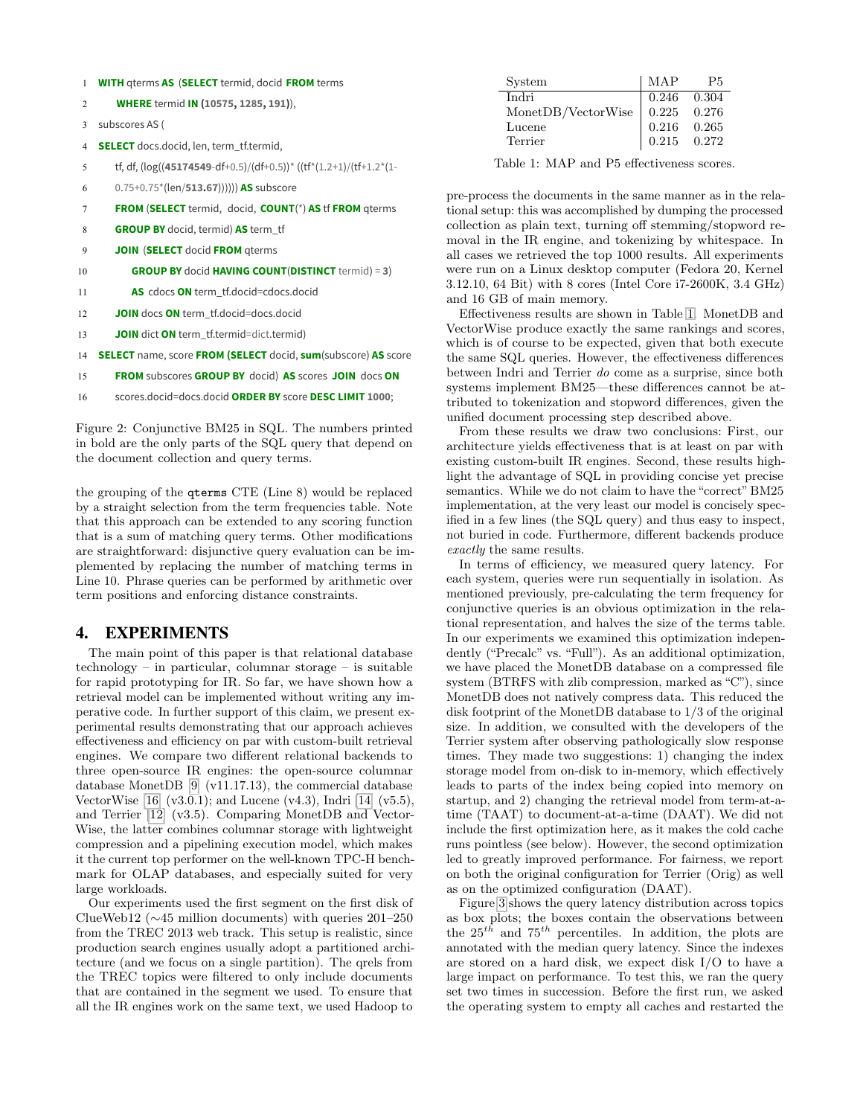- <span id="page-2-0"></span>**WITH** qterms **AS** (**SELECT** termid, docid **FROM** terms 1
- **WHERE** termid **IN (10575, 1285, 191)**), 2
- subscores AS ( 3
- **SELECT** docs.docid, len, term\_tf.termid, 4
- tf, df, (log((**45174549**-df+0.5)/(df+0.5))\* ((tf\*(1.2+1)/(tf+1.2\*(1- 5
- 0.75+0.75\*(len/**513.67**)))))) **AS** subscore 6
- **FROM** (**SELECT** termid, docid, **COUNT**(\*) **AS** tf **FROM** qterms 7
- **GROUP BY** docid, termid) **AS** term\_tf 8
- **JOIN** (**SELECT** docid **FROM** qterms 9
- **GROUP BY** docid **HAVING COUNT**(**DISTINCT** termid) = **3**) 10
- **AS** cdocs **ON** term\_tf.docid=cdocs.docid 11
- **JOIN** docs **ON** term\_tf.docid=docs.docid 12
- **JOIN** dict **ON** term\_tf.termid=dict.termid) 13
- **SELECT** name, score **FROM (SELECT** docid, **sum**(subscore) **AS** score 14
- **FROM** subscores **GROUP BY** docid) **AS** scores **JOIN** docs **ON** 15
- scores.docid=docs.docid **ORDER BY** score **DESC LIMIT 1000**; 16

Figure 2: Conjunctive BM25 in SQL. The numbers printed in bold are the only parts of the SQL query that depend on the document collection and query terms.

the grouping of the qterms CTE (Line 8) would be replaced by a straight selection from the term frequencies table. Note that this approach can be extended to any scoring function that is a sum of matching query terms. Other modifications are straightforward: disjunctive query evaluation can be implemented by replacing the number of matching terms in Line 10. Phrase queries can be performed by arithmetic over term positions and enforcing distance constraints.

#### 4. EXPERIMENTS

The main point of this paper is that relational database technology – in particular, columnar storage – is suitable for rapid prototyping for IR. So far, we have shown how a retrieval model can be implemented without writing any imperative code. In further support of this claim, we present experimental results demonstrating that our approach achieves effectiveness and efficiency on par with custom-built retrieval engines. We compare two different relational backends to three open-source IR engines: the open-source columnar database MonetDB [\[9\]](#page-3-5) (v11.17.13), the commercial database VectorWise [\[16\]](#page-3-6)  $(v3.0.1)$ ; and Lucene  $(v4.3)$ , Indri [\[14\]](#page-3-15)  $(v5.5)$ , and Terrier [\[12\]](#page-3-16) (v3.5). Comparing MonetDB and Vector-Wise, the latter combines columnar storage with lightweight compression and a pipelining execution model, which makes it the current top performer on the well-known TPC-H benchmark for OLAP databases, and especially suited for very large workloads.

Our experiments used the first segment on the first disk of ClueWeb12 (∼45 million documents) with queries 201–250 from the TREC 2013 web track. This setup is realistic, since production search engines usually adopt a partitioned architecture (and we focus on a single partition). The qrels from the TREC topics were filtered to only include documents that are contained in the segment we used. To ensure that all the IR engines work on the same text, we used Hadoop to

<span id="page-2-1"></span>

| System             | MAP             | <b>P5</b>       |
|--------------------|-----------------|-----------------|
| Indri              |                 | $0.246$ $0.304$ |
| MonetDB/VectorWise | $0.225$ $0.276$ |                 |
| Lucene             | $0.216$ $0.265$ |                 |
| Terrier            |                 | $0.215$ $0.272$ |

Table 1: MAP and P5 effectiveness scores.

pre-process the documents in the same manner as in the relational setup: this was accomplished by dumping the processed collection as plain text, turning off stemming/stopword removal in the IR engine, and tokenizing by whitespace. In all cases we retrieved the top 1000 results. All experiments were run on a Linux desktop computer (Fedora 20, Kernel 3.12.10, 64 Bit) with 8 cores (Intel Core i7-2600K, 3.4 GHz) and 16 GB of main memory.

Effectiveness results are shown in Table [1.](#page-2-1) MonetDB and VectorWise produce exactly the same rankings and scores, which is of course to be expected, given that both execute the same SQL queries. However, the effectiveness differences between Indri and Terrier do come as a surprise, since both systems implement BM25—these differences cannot be attributed to tokenization and stopword differences, given the unified document processing step described above.

From these results we draw two conclusions: First, our architecture yields effectiveness that is at least on par with existing custom-built IR engines. Second, these results highlight the advantage of SQL in providing concise yet precise semantics. While we do not claim to have the "correct" BM25 implementation, at the very least our model is concisely specified in a few lines (the SQL query) and thus easy to inspect, not buried in code. Furthermore, different backends produce exactly the same results.

In terms of efficiency, we measured query latency. For each system, queries were run sequentially in isolation. As mentioned previously, pre-calculating the term frequency for conjunctive queries is an obvious optimization in the relational representation, and halves the size of the terms table. In our experiments we examined this optimization independently ("Precalc" vs. "Full"). As an additional optimization, we have placed the MonetDB database on a compressed file system (BTRFS with zlib compression, marked as "C"), since MonetDB does not natively compress data. This reduced the disk footprint of the MonetDB database to 1/3 of the original size. In addition, we consulted with the developers of the Terrier system after observing pathologically slow response times. They made two suggestions: 1) changing the index storage model from on-disk to in-memory, which effectively leads to parts of the index being copied into memory on startup, and 2) changing the retrieval model from term-at-atime (TAAT) to document-at-a-time (DAAT). We did not include the first optimization here, as it makes the cold cache runs pointless (see below). However, the second optimization led to greatly improved performance. For fairness, we report on both the original configuration for Terrier (Orig) as well as on the optimized configuration (DAAT).

Figure [3](#page-3-17) shows the query latency distribution across topics as box plots; the boxes contain the observations between the  $25^{th}$  and  $75^{th}$  percentiles. In addition, the plots are annotated with the median query latency. Since the indexes are stored on a hard disk, we expect disk I/O to have a large impact on performance. To test this, we ran the query set two times in succession. Before the first run, we asked the operating system to empty all caches and restarted the